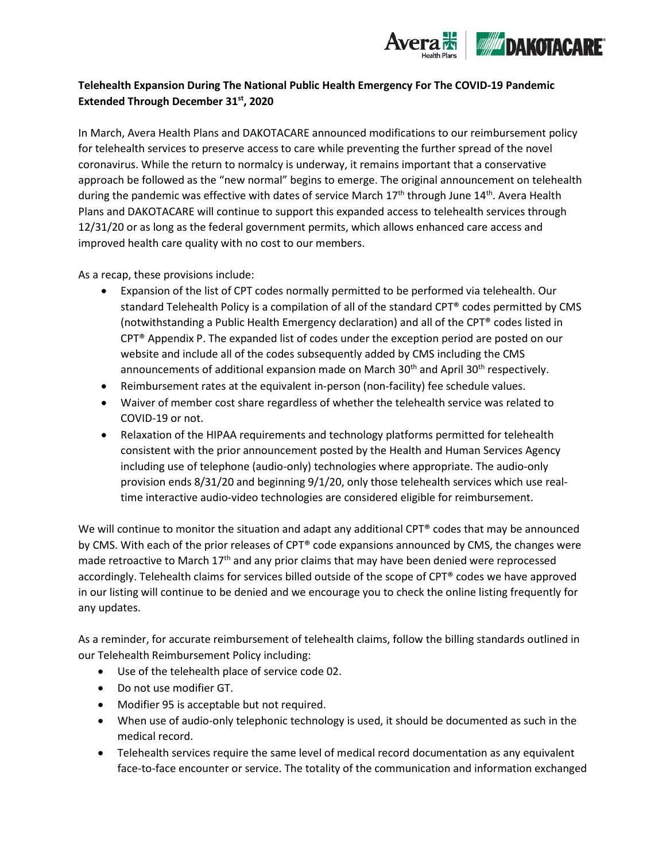

## **Telehealth Expansion During The National Public Health Emergency For The COVID-19 Pandemic Extended Through December 31st, 2020**

In March, Avera Health Plans and DAKOTACARE announced modifications to our reimbursement policy for telehealth services to preserve access to care while preventing the further spread of the novel coronavirus. While the return to normalcy is underway, it remains important that a conservative approach be followed as the "new normal" begins to emerge. The original announcement on telehealth during the pandemic was effective with dates of service March  $17<sup>th</sup>$  through June  $14<sup>th</sup>$ . Avera Health Plans and DAKOTACARE will continue to support this expanded access to telehealth services through 12/31/20 or as long as the federal government permits, which allows enhanced care access and improved health care quality with no cost to our members.

As a recap, these provisions include:

- Expansion of the list of CPT codes normally permitted to be performed via telehealth. Our standard Telehealth Policy is a compilation of all of the standard CPT® codes permitted by CMS (notwithstanding a Public Health Emergency declaration) and all of the CPT® codes listed in CPT® Appendix P. The expanded list of codes under the exception period are posted on our website and include all of the codes subsequently added by CMS including the CMS announcements of additional expansion made on March  $30<sup>th</sup>$  and April  $30<sup>th</sup>$  respectively.
- Reimbursement rates at the equivalent in-person (non-facility) fee schedule values.
- Waiver of member cost share regardless of whether the telehealth service was related to COVID-19 or not.
- Relaxation of the HIPAA requirements and technology platforms permitted for telehealth consistent with the prior announcement posted by the Health and Human Services Agency including use of telephone (audio-only) technologies where appropriate. The audio-only provision ends 8/31/20 and beginning 9/1/20, only those telehealth services which use realtime interactive audio-video technologies are considered eligible for reimbursement.

We will continue to monitor the situation and adapt any additional CPT® codes that may be announced by CMS. With each of the prior releases of CPT® code expansions announced by CMS, the changes were made retroactive to March  $17<sup>th</sup>$  and any prior claims that may have been denied were reprocessed accordingly. Telehealth claims for services billed outside of the scope of CPT® codes we have approved in our listing will continue to be denied and we encourage you to check the online listing frequently for any updates.

As a reminder, for accurate reimbursement of telehealth claims, follow the billing standards outlined in our Telehealth Reimbursement Policy including:

- Use of the telehealth place of service code 02.
- Do not use modifier GT.
- Modifier 95 is acceptable but not required.
- When use of audio-only telephonic technology is used, it should be documented as such in the medical record.
- Telehealth services require the same level of medical record documentation as any equivalent face-to-face encounter or service. The totality of the communication and information exchanged